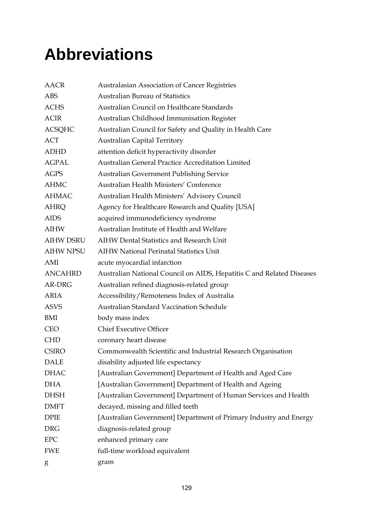## **Abbreviations**

| <b>AACR</b>      | Australasian Association of Cancer Registries                         |  |
|------------------|-----------------------------------------------------------------------|--|
| <b>ABS</b>       | <b>Australian Bureau of Statistics</b>                                |  |
| <b>ACHS</b>      | Australian Council on Healthcare Standards                            |  |
| <b>ACIR</b>      | Australian Childhood Immunisation Register                            |  |
| <b>ACSQHC</b>    | Australian Council for Safety and Quality in Health Care              |  |
| ACT              | <b>Australian Capital Territory</b>                                   |  |
| <b>ADHD</b>      | attention deficit hyperactivity disorder                              |  |
| <b>AGPAL</b>     | Australian General Practice Accreditation Limited                     |  |
| <b>AGPS</b>      | Australian Government Publishing Service                              |  |
| <b>AHMC</b>      | Australian Health Ministers' Conference                               |  |
| <b>AHMAC</b>     | Australian Health Ministers' Advisory Council                         |  |
| <b>AHRQ</b>      | Agency for Healthcare Research and Quality [USA]                      |  |
| <b>AIDS</b>      | acquired immunodeficiency syndrome                                    |  |
| <b>AIHW</b>      | Australian Institute of Health and Welfare                            |  |
| <b>AIHW DSRU</b> | <b>AIHW Dental Statistics and Research Unit</b>                       |  |
| <b>AIHW NPSU</b> | <b>AIHW National Perinatal Statistics Unit</b>                        |  |
| AMI              | acute myocardial infarction                                           |  |
| <b>ANCAHRD</b>   | Australian National Council on AIDS, Hepatitis C and Related Diseases |  |
| AR-DRG           | Australian refined diagnosis-related group                            |  |
| <b>ARIA</b>      | Accessibility/Remoteness Index of Australia                           |  |
| <b>ASVS</b>      | <b>Australian Standard Vaccination Schedule</b>                       |  |
| BMI              | body mass index                                                       |  |
| <b>CEO</b>       | <b>Chief Executive Officer</b>                                        |  |
| <b>CHD</b>       | coronary heart disease                                                |  |
| <b>CSIRO</b>     | Commonwealth Scientific and Industrial Research Organisation          |  |
| <b>DALE</b>      | disability adjusted life expectancy                                   |  |
| <b>DHAC</b>      | [Australian Government] Department of Health and Aged Care            |  |
| <b>DHA</b>       | [Australian Government] Department of Health and Ageing               |  |
| <b>DHSH</b>      | [Australian Government] Department of Human Services and Health       |  |
| <b>DMFT</b>      | decayed, missing and filled teeth                                     |  |
| <b>DPIE</b>      | [Australian Government] Department of Primary Industry and Energy     |  |
| <b>DRG</b>       | diagnosis-related group                                               |  |
| ${\rm EPC}$      | enhanced primary care                                                 |  |
| <b>FWE</b>       | full-time workload equivalent                                         |  |
| g                | gram                                                                  |  |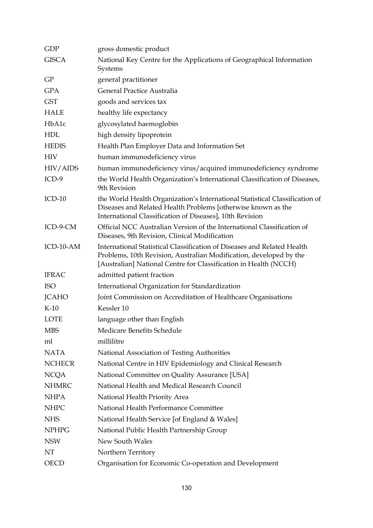| <b>GDP</b>    | gross domestic product                                                                                                                                                                                            |  |
|---------------|-------------------------------------------------------------------------------------------------------------------------------------------------------------------------------------------------------------------|--|
| <b>GISCA</b>  | National Key Centre for the Applications of Geographical Information<br>Systems                                                                                                                                   |  |
| GP            | general practitioner                                                                                                                                                                                              |  |
| <b>GPA</b>    | General Practice Australia                                                                                                                                                                                        |  |
| <b>GST</b>    | goods and services tax                                                                                                                                                                                            |  |
| <b>HALE</b>   | healthy life expectancy                                                                                                                                                                                           |  |
| HbA1c         | glycosylated haemoglobin                                                                                                                                                                                          |  |
| <b>HDL</b>    | high density lipoprotein                                                                                                                                                                                          |  |
| <b>HEDIS</b>  | Health Plan Employer Data and Information Set                                                                                                                                                                     |  |
| <b>HIV</b>    | human immunodeficiency virus                                                                                                                                                                                      |  |
| HIV/AIDS      | human immunodeficiency virus/acquired immunodeficiency syndrome                                                                                                                                                   |  |
| $ICD-9$       | the World Health Organization's International Classification of Diseases,<br>9th Revision                                                                                                                         |  |
| $ICD-10$      | the World Health Organization's International Statistical Classification of<br>Diseases and Related Health Problems [otherwise known as the<br>International Classification of Diseases], 10th Revision           |  |
| ICD-9-CM      | Official NCC Australian Version of the International Classification of<br>Diseases, 9th Revision, Clinical Modification                                                                                           |  |
| ICD-10-AM     | International Statistical Classification of Diseases and Related Health<br>Problems, 10th Revision, Australian Modification, developed by the<br>[Australian] National Centre for Classification in Health (NCCH) |  |
| <b>IFRAC</b>  | admitted patient fraction                                                                                                                                                                                         |  |
| <b>ISO</b>    | International Organization for Standardization                                                                                                                                                                    |  |
| <b>JCAHO</b>  | Joint Commission on Accreditation of Healthcare Organisations                                                                                                                                                     |  |
| $K-10$        | Kessler 10                                                                                                                                                                                                        |  |
| LOTE          | language other than English                                                                                                                                                                                       |  |
| <b>MBS</b>    | Medicare Benefits Schedule                                                                                                                                                                                        |  |
| ml            | millilitre                                                                                                                                                                                                        |  |
| <b>NATA</b>   | National Association of Testing Authorities                                                                                                                                                                       |  |
| <b>NCHECR</b> | National Centre in HIV Epidemiology and Clinical Research                                                                                                                                                         |  |
| <b>NCQA</b>   | National Committee on Quality Assurance [USA]                                                                                                                                                                     |  |
| <b>NHMRC</b>  | National Health and Medical Research Council                                                                                                                                                                      |  |
| <b>NHPA</b>   | National Health Priority Area                                                                                                                                                                                     |  |
| <b>NHPC</b>   | National Health Performance Committee                                                                                                                                                                             |  |
| <b>NHS</b>    | National Health Service [of England & Wales]                                                                                                                                                                      |  |
| <b>NPHPG</b>  | National Public Health Partnership Group                                                                                                                                                                          |  |
| <b>NSW</b>    | New South Wales                                                                                                                                                                                                   |  |
| NT            | Northern Territory                                                                                                                                                                                                |  |
| <b>OECD</b>   | Organisation for Economic Co-operation and Development                                                                                                                                                            |  |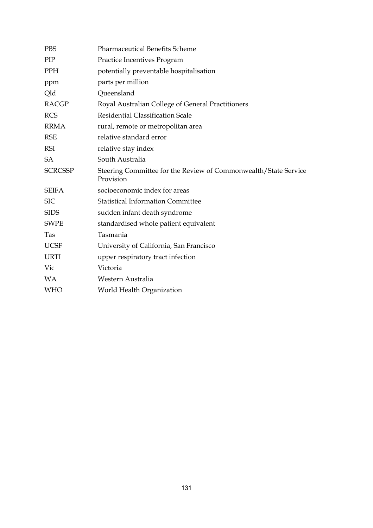| <b>PBS</b>     | <b>Pharmaceutical Benefits Scheme</b>                                        |
|----------------|------------------------------------------------------------------------------|
| PIP            | Practice Incentives Program                                                  |
| <b>PPH</b>     | potentially preventable hospitalisation                                      |
| ppm            | parts per million                                                            |
| Qld            | Queensland                                                                   |
| <b>RACGP</b>   | Royal Australian College of General Practitioners                            |
| <b>RCS</b>     | <b>Residential Classification Scale</b>                                      |
| <b>RRMA</b>    | rural, remote or metropolitan area                                           |
| <b>RSE</b>     | relative standard error                                                      |
| <b>RSI</b>     | relative stay index                                                          |
| <b>SA</b>      | South Australia                                                              |
| <b>SCRCSSP</b> | Steering Committee for the Review of Commonwealth/State Service<br>Provision |
| <b>SEIFA</b>   | socioeconomic index for areas                                                |
| <b>SIC</b>     | <b>Statistical Information Committee</b>                                     |
| <b>SIDS</b>    | sudden infant death syndrome                                                 |
| <b>SWPE</b>    | standardised whole patient equivalent                                        |
| Tas            | Tasmania                                                                     |
| <b>UCSF</b>    | University of California, San Francisco                                      |
| <b>URTI</b>    | upper respiratory tract infection                                            |
| Vic            | Victoria                                                                     |
| <b>WA</b>      | Western Australia                                                            |
| <b>WHO</b>     | World Health Organization                                                    |
|                |                                                                              |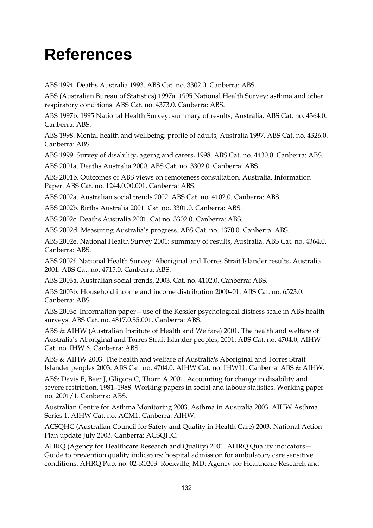## **References**

ABS 1994. Deaths Australia 1993. ABS Cat. no. 3302.0. Canberra: ABS.

ABS (Australian Bureau of Statistics) 1997a. 1995 National Health Survey: asthma and other respiratory conditions. ABS Cat. no. 4373.0. Canberra: ABS.

ABS 1997b. 1995 National Health Survey: summary of results, Australia. ABS Cat. no. 4364.0. Canberra: ABS.

ABS 1998. Mental health and wellbeing: profile of adults, Australia 1997. ABS Cat. no. 4326.0. Canberra: ABS.

ABS 1999. Survey of disability, ageing and carers, 1998. ABS Cat. no. 4430.0. Canberra: ABS.

ABS 2001a. Deaths Australia 2000. ABS Cat. no. 3302.0. Canberra: ABS.

ABS 2001b. Outcomes of ABS views on remoteness consultation, Australia. Information Paper. ABS Cat. no. 1244.0.00.001. Canberra: ABS.

ABS 2002a. Australian social trends 2002. ABS Cat. no. 4102.0. Canberra: ABS.

ABS 2002b. Births Australia 2001. Cat. no. 3301.0. Canberra: ABS.

ABS 2002c. Deaths Australia 2001. Cat no. 3302.0. Canberra: ABS.

ABS 2002d. Measuring Australia's progress. ABS Cat. no. 1370.0. Canberra: ABS.

ABS 2002e. National Health Survey 2001: summary of results, Australia. ABS Cat. no. 4364.0. Canberra: ABS.

ABS 2002f. National Health Survey: Aboriginal and Torres Strait Islander results, Australia 2001. ABS Cat. no. 4715.0. Canberra: ABS.

ABS 2003a. Australian social trends, 2003. Cat. no. 4102.0. Canberra: ABS.

ABS 2003b. Household income and income distribution 2000–01. ABS Cat. no. 6523.0. Canberra: ABS.

ABS 2003c. Information paper—use of the Kessler psychological distress scale in ABS health surveys. ABS Cat. no. 4817.0.55.001. Canberra: ABS.

ABS & AIHW (Australian Institute of Health and Welfare) 2001. The health and welfare of Australia's Aboriginal and Torres Strait Islander peoples, 2001. ABS Cat. no. 4704.0, AIHW Cat. no. IHW 6. Canberra: ABS.

ABS & AIHW 2003. The health and welfare of Australia's Aboriginal and Torres Strait Islander peoples 2003. ABS Cat. no. 4704.0. AIHW Cat. no. IHW11. Canberra: ABS & AIHW.

ABS: Davis E, Beer J, Gligora C, Thorn A 2001. Accounting for change in disability and severe restriction, 1981–1988. Working papers in social and labour statistics. Working paper no. 2001/1. Canberra: ABS.

Australian Centre for Asthma Monitoring 2003. Asthma in Australia 2003. AIHW Asthma Series 1. AIHW Cat. no. ACM1. Canberra: AIHW.

ACSQHC (Australian Council for Safety and Quality in Health Care) 2003. National Action Plan update July 2003. Canberra: ACSQHC.

AHRQ (Agency for Healthcare Research and Quality) 2001. AHRQ Quality indicators— Guide to prevention quality indicators: hospital admission for ambulatory care sensitive conditions. AHRQ Pub. no. 02-R0203. Rockville, MD: Agency for Healthcare Research and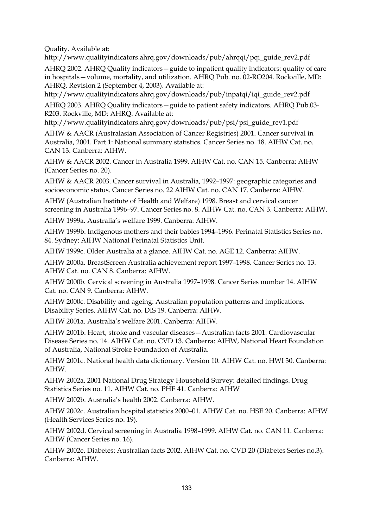Quality. Available at:

http://www.qualityindicators.ahrq.gov/downloads/pub/ahrqqi/pqi\_guide\_rev2.pdf

AHRQ 2002. AHRQ Quality indicators—guide to inpatient quality indicators: quality of care in hospitals—volume, mortality, and utilization. AHRQ Pub. no. 02-RO204. Rockville, MD: AHRQ. Revision 2 (September 4, 2003). Available at:

http://www.qualityindicators.ahrq.gov/downloads/pub/inpatqi/iqi\_guide\_rev2.pdf

AHRQ 2003. AHRQ Quality indicators—guide to patient safety indicators. AHRQ Pub.03- R203. Rockville, MD: AHRQ. Available at:

http://www.qualityindicators.ahrq.gov/downloads/pub/psi/psi\_guide\_rev1.pdf

AIHW & AACR (Australasian Association of Cancer Registries) 2001. Cancer survival in Australia, 2001. Part 1: National summary statistics. Cancer Series no. 18. AIHW Cat. no. CAN 13. Canberra: AIHW.

AIHW & AACR 2002. Cancer in Australia 1999. AIHW Cat. no. CAN 15. Canberra: AIHW (Cancer Series no. 20).

AIHW & AACR 2003. Cancer survival in Australia, 1992–1997: geographic categories and socioeconomic status. Cancer Series no. 22 AIHW Cat. no. CAN 17. Canberra: AIHW.

AIHW (Australian Institute of Health and Welfare) 1998. Breast and cervical cancer screening in Australia 1996–97. Cancer Series no. 8. AIHW Cat. no. CAN 3. Canberra: AIHW.

AIHW 1999a. Australia's welfare 1999. Canberra: AIHW.

AIHW 1999b. Indigenous mothers and their babies 1994–1996. Perinatal Statistics Series no. 84. Sydney: AIHW National Perinatal Statistics Unit.

AIHW 1999c. Older Australia at a glance. AIHW Cat. no. AGE 12. Canberra: AIHW.

AIHW 2000a. BreastScreen Australia achievement report 1997–1998. Cancer Series no. 13. AIHW Cat. no. CAN 8. Canberra: AIHW.

AIHW 2000b. Cervical screening in Australia 1997–1998. Cancer Series number 14. AIHW Cat. no. CAN 9. Canberra: AIHW.

AIHW 2000c. Disability and ageing: Australian population patterns and implications. Disability Series. AIHW Cat. no. DIS 19. Canberra: AIHW.

AIHW 2001a. Australia's welfare 2001. Canberra: AIHW.

AIHW 2001b. Heart, stroke and vascular diseases—Australian facts 2001. Cardiovascular Disease Series no. 14. AIHW Cat. no. CVD 13. Canberra: AIHW, National Heart Foundation of Australia, National Stroke Foundation of Australia.

AIHW 2001c. National health data dictionary. Version 10. AIHW Cat. no. HWI 30. Canberra: AIHW.

AIHW 2002a. 2001 National Drug Strategy Household Survey: detailed findings. Drug Statistics Series no. 11. AIHW Cat. no. PHE 41. Canberra: AIHW

AIHW 2002b. Australia's health 2002. Canberra: AIHW.

AIHW 2002c. Australian hospital statistics 2000–01. AIHW Cat. no. HSE 20. Canberra: AIHW (Health Services Series no. 19).

AIHW 2002d. Cervical screening in Australia 1998–1999. AIHW Cat. no. CAN 11. Canberra: AIHW (Cancer Series no. 16).

AIHW 2002e. Diabetes: Australian facts 2002. AIHW Cat. no. CVD 20 (Diabetes Series no.3). Canberra: AIHW.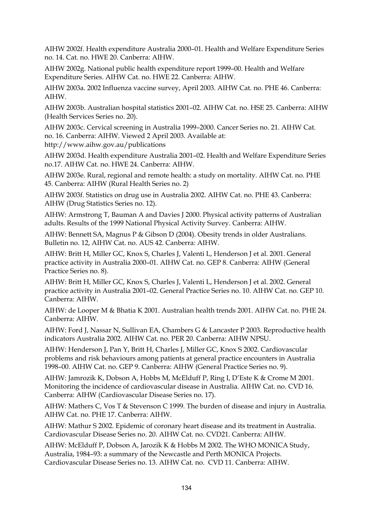AIHW 2002f. Health expenditure Australia 2000–01. Health and Welfare Expenditure Series no. 14. Cat. no. HWE 20. Canberra: AIHW.

AIHW 2002g. National public health expenditure report 1999–00. Health and Welfare Expenditure Series. AIHW Cat. no. HWE 22. Canberra: AIHW.

AIHW 2003a. 2002 Influenza vaccine survey, April 2003. AIHW Cat. no. PHE 46. Canberra: AIHW.

AIHW 2003b. Australian hospital statistics 2001–02. AIHW Cat. no. HSE 25. Canberra: AIHW (Health Services Series no. 20).

AIHW 2003c. Cervical screening in Australia 1999–2000. Cancer Series no. 21. AIHW Cat. no. 16. Canberra: AIHW. Viewed 2 April 2003. Available at: http://www.aihw.gov.au/publications

AIHW 2003d. Health expenditure Australia 2001–02. Health and Welfare Expenditure Series no.17. AIHW Cat. no. HWE 24. Canberra: AIHW.

AIHW 2003e. Rural, regional and remote health: a study on mortality. AIHW Cat. no. PHE 45. Canberra: AIHW (Rural Health Series no. 2)

AIHW 2003f. Statistics on drug use in Australia 2002. AIHW Cat. no. PHE 43. Canberra: AIHW (Drug Statistics Series no. 12).

AIHW: Armstrong T, Bauman A and Davies J 2000. Physical activity patterns of Australian adults. Results of the 1999 National Physical Activity Survey. Canberra: AIHW.

AIHW: Bennett SA, Magnus P & Gibson D (2004). Obesity trends in older Australians. Bulletin no. 12, AIHW Cat. no. AUS 42. Canberra: AIHW.

AIHW: Britt H, Miller GC, Knox S, Charles J, Valenti L, Henderson J et al. 2001. General practice activity in Australia 2000–01. AIHW Cat. no. GEP 8. Canberra: AIHW (General Practice Series no. 8).

AIHW: Britt H, Miller GC, Knox S, Charles J, Valenti L, Henderson J et al. 2002. General practice activity in Australia 2001–02. General Practice Series no. 10. AIHW Cat. no. GEP 10. Canberra: AIHW.

AIHW: de Looper M & Bhatia K 2001. Australian health trends 2001. AIHW Cat. no. PHE 24. Canberra: AIHW.

AIHW: Ford J, Nassar N, Sullivan EA, Chambers G & Lancaster P 2003. Reproductive health indicators Australia 2002. AIHW Cat. no. PER 20. Canberra: AIHW NPSU.

AIHW: Henderson J, Pan Y, Britt H, Charles J, Miller GC, Knox S 2002. Cardiovascular problems and risk behaviours among patients at general practice encounters in Australia 1998–00. AIHW Cat. no. GEP 9. Canberra: AIHW (General Practice Series no. 9).

AIHW: Jamrozik K, Dobson A, Hobbs M, McElduff P, Ring I, D'Este K & Crome M 2001. Monitoring the incidence of cardiovascular disease in Australia. AIHW Cat. no. CVD 16. Canberra: AIHW (Cardiovascular Disease Series no. 17).

AIHW: Mathers C, Vos T & Stevenson C 1999. The burden of disease and injury in Australia. AIHW Cat. no. PHE 17. Canberra: AIHW.

AIHW: Mathur S 2002. Epidemic of coronary heart disease and its treatment in Australia. Cardiovascular Disease Series no. 20. AIHW Cat. no. CVD21. Canberra: AIHW.

AIHW: McElduff P, Dobson A, Jarozik K & Hobbs M 2002. The WHO MONICA Study, Australia, 1984–93: a summary of the Newcastle and Perth MONICA Projects. Cardiovascular Disease Series no. 13. AIHW Cat. no. CVD 11. Canberra: AIHW.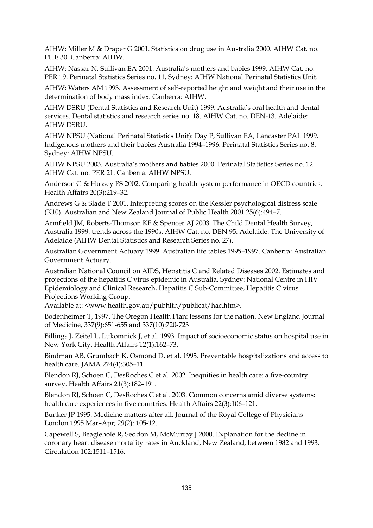AIHW: Miller M & Draper G 2001. Statistics on drug use in Australia 2000. AIHW Cat. no. PHE 30. Canberra: AIHW.

AIHW: Nassar N, Sullivan EA 2001. Australia's mothers and babies 1999. AIHW Cat. no. PER 19. Perinatal Statistics Series no. 11. Sydney: AIHW National Perinatal Statistics Unit.

AIHW: Waters AM 1993. Assessment of self-reported height and weight and their use in the determination of body mass index. Canberra: AIHW.

AIHW DSRU (Dental Statistics and Research Unit) 1999. Australia's oral health and dental services. Dental statistics and research series no. 18. AIHW Cat. no. DEN-13. Adelaide: AIHW DSRU.

AIHW NPSU (National Perinatal Statistics Unit): Day P, Sullivan EA, Lancaster PAL 1999. Indigenous mothers and their babies Australia 1994–1996. Perinatal Statistics Series no. 8. Sydney: AIHW NPSU.

AIHW NPSU 2003. Australia's mothers and babies 2000. Perinatal Statistics Series no. 12. AIHW Cat. no. PER 21. Canberra: AIHW NPSU.

Anderson G & Hussey PS 2002. Comparing health system performance in OECD countries. Health Affairs 20(3):219–32.

Andrews G & Slade T 2001. Interpreting scores on the Kessler psychological distress scale (K10). Australian and New Zealand Journal of Public Health 2001 25(6):494–7.

Armfield JM, Roberts-Thomson KF & Spencer AJ 2003. The Child Dental Health Survey, Australia 1999: trends across the 1990s. AIHW Cat. no. DEN 95. Adelaide: The University of Adelaide (AIHW Dental Statistics and Research Series no. 27).

Australian Government Actuary 1999. Australian life tables 1995–1997. Canberra: Australian Government Actuary.

Australian National Council on AIDS, Hepatitis C and Related Diseases 2002. Estimates and projections of the hepatitis C virus epidemic in Australia. Sydney: National Centre in HIV Epidemiology and Clinical Research, Hepatitis C Sub-Committee, Hepatitis C virus Projections Working Group.

Available at: <www.health.gov.au/pubhlth/publicat/hac.htm>.

Bodenheimer T, 1997. The Oregon Health Plan: lessons for the nation. New England Journal of Medicine, 337(9):651-655 and 337(10):720-723

Billings J, Zeitel L, Lukomnick J, et al. 1993. Impact of socioeconomic status on hospital use in New York City. Health Affairs 12(1):162–73.

Bindman AB, Grumbach K, Osmond D, et al. 1995. Preventable hospitalizations and access to health care. JAMA 274(4):305–11.

Blendon RJ, Schoen C, DesRoches C et al. 2002. Inequities in health care: a five-country survey. Health Affairs 21(3):182–191.

Blendon RJ, Schoen C, DesRoches C et al. 2003. Common concerns amid diverse systems: health care experiences in five countries. Health Affairs 22(3):106–121.

Bunker JP 1995. Medicine matters after all. Journal of the Royal College of Physicians London 1995 Mar–Apr; 29(2): 105-12.

Capewell S, Beaglehole R, Seddon M, McMurray J 2000. Explanation for the decline in coronary heart disease mortality rates in Auckland, New Zealand, between 1982 and 1993. Circulation 102:1511–1516.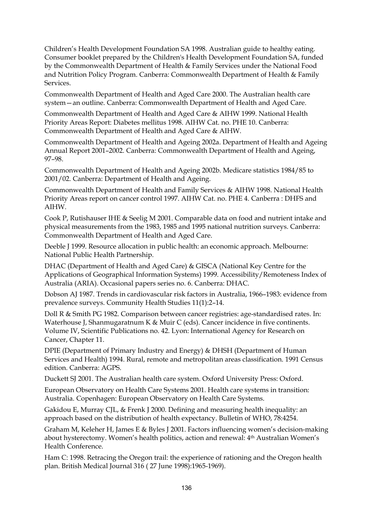Children's Health Development Foundation SA 1998. Australian guide to healthy eating. Consumer booklet prepared by the Children's Health Development Foundation SA, funded by the Commonwealth Department of Health & Family Services under the National Food and Nutrition Policy Program. Canberra: Commonwealth Department of Health & Family Services.

Commonwealth Department of Health and Aged Care 2000. The Australian health care system—an outline. Canberra: Commonwealth Department of Health and Aged Care.

Commonwealth Department of Health and Aged Care & AIHW 1999. National Health Priority Areas Report: Diabetes mellitus 1998. AIHW Cat. no. PHE 10. Canberra: Commonwealth Department of Health and Aged Care & AIHW.

Commonwealth Department of Health and Ageing 2002a. Department of Health and Ageing Annual Report 2001–2002. Canberra: Commonwealth Department of Health and Ageing, 97–98.

Commonwealth Department of Health and Ageing 2002b. Medicare statistics 1984/85 to 2001/02. Canberra: Department of Health and Ageing.

Commonwealth Department of Health and Family Services & AIHW 1998. National Health Priority Areas report on cancer control 1997. AIHW Cat. no. PHE 4. Canberra : DHFS and AIHW.

Cook P, Rutishauser IHE & Seelig M 2001. Comparable data on food and nutrient intake and physical measurements from the 1983, 1985 and 1995 national nutrition surveys. Canberra: Commonwealth Department of Health and Aged Care.

Deeble J 1999. Resource allocation in public health: an economic approach. Melbourne: National Public Health Partnership.

DHAC (Department of Health and Aged Care) & GISCA (National Key Centre for the Applications of Geographical Information Systems) 1999. Accessibility/Remoteness Index of Australia (ARIA). Occasional papers series no. 6. Canberra: DHAC.

Dobson AJ 1987. Trends in cardiovascular risk factors in Australia, 1966–1983: evidence from prevalence surveys. Community Health Studies 11(1):2–14.

Doll R & Smith PG 1982. Comparison between cancer registries: age-standardised rates. In: Waterhouse J, Shanmugaratnum K & Muir C (eds). Cancer incidence in five continents. Volume IV, Scientific Publications no. 42. Lyon: International Agency for Research on Cancer, Chapter 11.

DPIE (Department of Primary Industry and Energy) & DHSH (Department of Human Services and Health) 1994. Rural, remote and metropolitan areas classification. 1991 Census edition. Canberra: AGPS.

Duckett SJ 2001. The Australian health care system. Oxford University Press: Oxford.

European Observatory on Health Care Systems 2001. Health care systems in transition: Australia. Copenhagen: European Observatory on Health Care Systems.

Gakidou E, Murray CJL, & Frenk J 2000. Defining and measuring health inequality: an approach based on the distribution of health expectancy. Bulletin of WHO, 78:4254.

Graham M, Keleher H, James E & Byles J 2001. Factors influencing women's decision-making about hysterectomy. Women's health politics, action and renewal: 4th Australian Women's Health Conference.

Ham C: 1998. Retracing the Oregon trail: the experience of rationing and the Oregon health plan. British Medical Journal 316 ( 27 June 1998):1965-1969).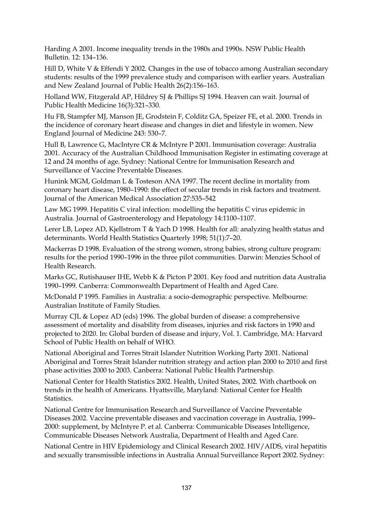Harding A 2001. Income inequality trends in the 1980s and 1990s. NSW Public Health Bulletin. 12: 134–136.

Hill D, White V & Effendi Y 2002. Changes in the use of tobacco among Australian secondary students: results of the 1999 prevalence study and comparison with earlier years. Australian and New Zealand Journal of Public Health 26(2):156–163.

Holland WW, Fitzgerald AP, Hildrey SJ & Phillips SJ 1994. Heaven can wait. Journal of Public Health Medicine 16(3):321–330.

Hu FB, Stampfer MJ, Manson JE, Grodstein F, Colditz GA, Speizer FE, et al. 2000. Trends in the incidence of coronary heart disease and changes in diet and lifestyle in women. New England Journal of Medicine 243: 530–7.

Hull B, Lawrence G, MacIntyre CR & McIntyre P 2001. Immunisation coverage: Australia 2001. Accuracy of the Australian Childhood Immunisation Register in estimating coverage at 12 and 24 months of age. Sydney: National Centre for Immunisation Research and Surveillance of Vaccine Preventable Diseases.

Hunink MGM, Goldman L & Tosteson ANA 1997. The recent decline in mortality from coronary heart disease, 1980–1990: the effect of secular trends in risk factors and treatment. Journal of the American Medical Association 27:535–542

Law MG 1999. Hepatitis C viral infection: modelling the hepatitis C virus epidemic in Australia. Journal of Gastroenterology and Hepatology 14:1100–1107.

Lerer LB, Lopez AD, Kjellstrom T & Yach D 1998. Health for all: analyzing health status and determinants. World Health Statistics Quarterly 1998; 51(1):7–20.

Mackerras D 1998. Evaluation of the strong women, strong babies, strong culture program: results for the period 1990–1996 in the three pilot communities. Darwin: Menzies School of Health Research.

Marks GC, Rutishauser IHE, Webb K & Picton P 2001. Key food and nutrition data Australia 1990–1999. Canberra: Commonwealth Department of Health and Aged Care.

McDonald P 1995. Families in Australia: a socio-demographic perspective. Melbourne: Australian Institute of Family Studies.

Murray CJL & Lopez AD (eds) 1996. The global burden of disease: a comprehensive assessment of mortality and disability from diseases, injuries and risk factors in 1990 and projected to 2020. In: Global burden of disease and injury, Vol. 1. Cambridge, MA: Harvard School of Public Health on behalf of WHO.

National Aboriginal and Torres Strait Islander Nutrition Working Party 2001. National Aboriginal and Torres Strait Islander nutrition strategy and action plan 2000 to 2010 and first phase activities 2000 to 2003. Canberra: National Public Health Partnership.

National Center for Health Statistics 2002. Health, United States, 2002. With chartbook on trends in the health of Americans. Hyattsville, Maryland: National Center for Health Statistics.

National Centre for Immunisation Research and Surveillance of Vaccine Preventable Diseases 2002. Vaccine preventable diseases and vaccination coverage in Australia, 1999– 2000: supplement, by McIntyre P. et al. Canberra: Communicable Diseases Intelligence, Communicable Diseases Network Australia, Department of Health and Aged Care.

National Centre in HIV Epidemiology and Clinical Research 2002. HIV/AIDS, viral hepatitis and sexually transmissible infections in Australia Annual Surveillance Report 2002. Sydney: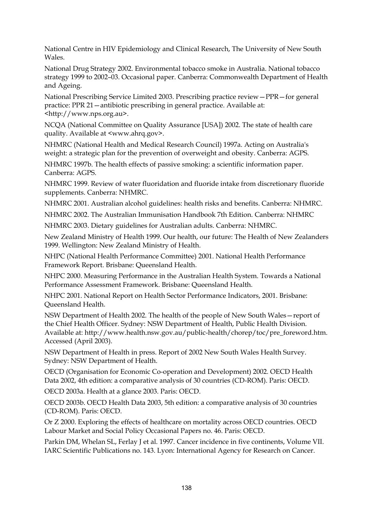National Centre in HIV Epidemiology and Clinical Research, The University of New South Wales.

National Drug Strategy 2002. Environmental tobacco smoke in Australia. National tobacco strategy 1999 to 2002–03. Occasional paper. Canberra: Commonwealth Department of Health and Ageing.

National Prescribing Service Limited 2003. Prescribing practice review—PPR—for general practice: PPR 21—antibiotic prescribing in general practice. Available at: <http://www.nps.org.au>.

NCQA (National Committee on Quality Assurance [USA]) 2002. The state of health care quality. Available at <www.ahrq.gov>.

NHMRC (National Health and Medical Research Council) 1997a. Acting on Australia's weight: a strategic plan for the prevention of overweight and obesity. Canberra: AGPS.

NHMRC 1997b. The health effects of passive smoking: a scientific information paper. Canberra: AGPS.

NHMRC 1999. Review of water fluoridation and fluoride intake from discretionary fluoride supplements. Canberra: NHMRC.

NHMRC 2001. Australian alcohol guidelines: health risks and benefits. Canberra: NHMRC.

NHMRC 2002. The Australian Immunisation Handbook 7th Edition. Canberra: NHMRC

NHMRC 2003. Dietary guidelines for Australian adults. Canberra: NHMRC.

New Zealand Ministry of Health 1999. Our health, our future: The Health of New Zealanders 1999. Wellington: New Zealand Ministry of Health.

NHPC (National Health Performance Committee) 2001. National Health Performance Framework Report. Brisbane: Queensland Health*.* 

NHPC 2000. Measuring Performance in the Australian Health System. Towards a National Performance Assessment Framework. Brisbane: Queensland Health*.* 

NHPC 2001. National Report on Health Sector Performance Indicators, 2001. Brisbane: Queensland Health*.* 

NSW Department of Health 2002. The health of the people of New South Wales—report of the Chief Health Officer. Sydney: NSW Department of Health, Public Health Division. Available at: http://www.health.nsw.gov.au/public-health/chorep/toc/pre\_foreword.htm. Accessed (April 2003).

NSW Department of Health in press. Report of 2002 New South Wales Health Survey. Sydney: NSW Department of Health.

OECD (Organisation for Economic Co-operation and Development) 2002. OECD Health Data 2002, 4th edition: a comparative analysis of 30 countries (CD-ROM). Paris: OECD.

OECD 2003a. Health at a glance 2003. Paris: OECD.

OECD 2003b. OECD Health Data 2003, 5th edition: a comparative analysis of 30 countries (CD-ROM). Paris: OECD.

Or Z 2000. Exploring the effects of healthcare on mortality across OECD countries. OECD Labour Market and Social Policy Occasional Papers no. 46. Paris: OECD.

Parkin DM, Whelan SL, Ferlay J et al. 1997. Cancer incidence in five continents, Volume VII. IARC Scientific Publications no. 143. Lyon: International Agency for Research on Cancer.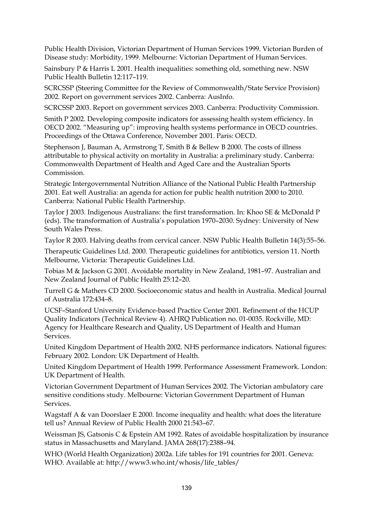Public Health Division, Victorian Department of Human Services 1999. Victorian Burden of Disease study: Morbidity, 1999. Melbourne: Victorian Department of Human Services.

Sainsbury P & Harris L 2001. Health inequalities: something old, something new. NSW Public Health Bulletin 12:117–119.

SCRCSSP (Steering Committee for the Review of Commonwealth/State Service Provision) 2002. Report on government services 2002. Canberra: AusInfo.

SCRCSSP 2003. Report on government services 2003. Canberra: Productivity Commission.

Smith P 2002. Developing composite indicators for assessing health system efficiency. In OECD 2002. "Measuring up": improving health systems performance in OECD countries. Proceedings of the Ottawa Conference, November 2001. Paris: OECD.

Stephenson J, Bauman A, Armstrong T, Smith B & Bellew B 2000. The costs of illness attributable to physical activity on mortality in Australia: a preliminary study. Canberra: Commonwealth Department of Health and Aged Care and the Australian Sports Commission.

Strategic Intergovernmental Nutrition Alliance of the National Public Health Partnership 2001. Eat well Australia: an agenda for action for public health nutrition 2000 to 2010. Canberra: National Public Health Partnership.

Taylor J 2003. Indigenous Australians: the first transformation. In: Khoo SE & McDonald P (eds). The transformation of Australia's population 1970–2030. Sydney: University of New South Wales Press.

Taylor R 2003. Halving deaths from cervical cancer. NSW Public Health Bulletin 14(3):55–56.

Therapeutic Guidelines Ltd. 2000. Therapeutic guidelines for antibiotics, version 11. North Melbourne, Victoria: Therapeutic Guidelines Ltd.

Tobias M & Jackson G 2001. Avoidable mortality in New Zealand, 1981–97. Australian and New Zealand Journal of Public Health 25:12–20.

Turrell G & Mathers CD 2000. Socioeconomic status and health in Australia. Medical Journal of Australia 172:434–8.

UCSF–Stanford University Evidence-based Practice Center 2001. Refinement of the HCUP Quality Indicators (Technical Review 4). AHRQ Publication no. 01-0035. Rockville, MD: Agency for Healthcare Research and Quality, US Department of Health and Human Services.

United Kingdom Department of Health 2002. NHS performance indicators. National figures: February 2002. London: UK Department of Health.

United Kingdom Department of Health 1999. Performance Assessment Framework. London: UK Department of Health.

Victorian Government Department of Human Services 2002. The Victorian ambulatory care sensitive conditions study. Melbourne: Victorian Government Department of Human Services.

Wagstaff A & van Doorslaer E 2000. Income inequality and health: what does the literature tell us? Annual Review of Public Health 2000 21:543–67.

Weissman JS, Gatsonis C & Epstein AM 1992. Rates of avoidable hospitalization by insurance status in Massachusetts and Maryland. JAMA 268(17):2388–94.

WHO (World Health Organization) 2002a. Life tables for 191 countries for 2001. Geneva: WHO. Available at: http://www3.who.int/whosis/life\_tables/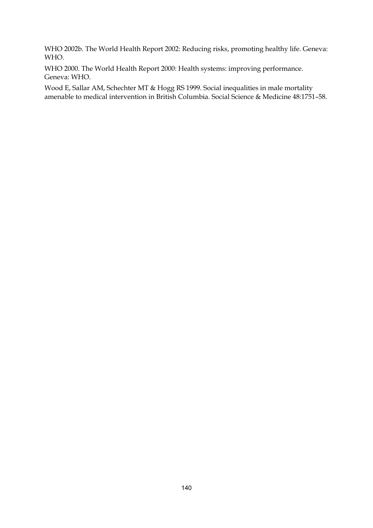WHO 2002b. The World Health Report 2002: Reducing risks, promoting healthy life. Geneva: WHO.

WHO 2000. The World Health Report 2000: Health systems: improving performance. Geneva: WHO.

Wood E, Sallar AM, Schechter MT & Hogg RS 1999. Social inequalities in male mortality amenable to medical intervention in British Columbia. Social Science & Medicine 48:1751–58.